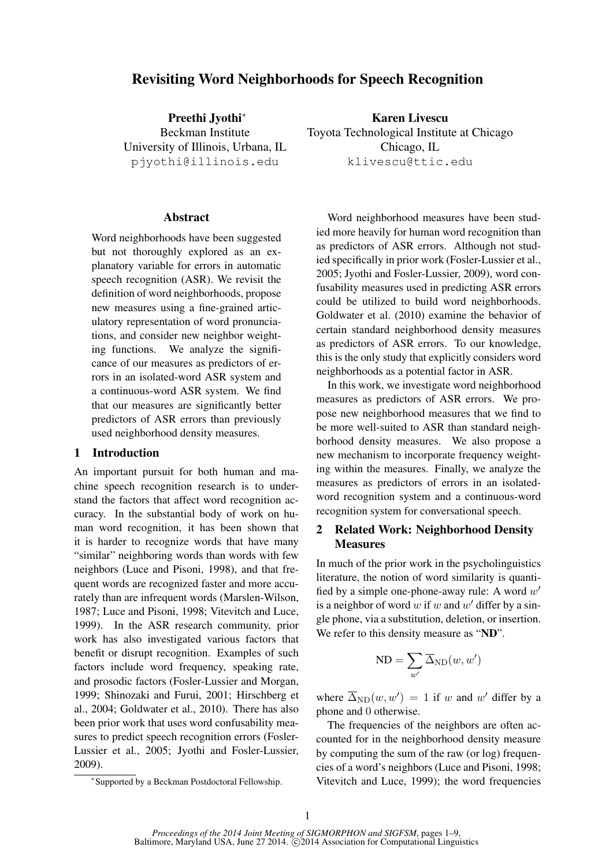# Revisiting Word Neighborhoods for Speech Recognition

Preethi Jvothi<sup>\*</sup> Beckman Institute University of Illinois, Urbana, IL pjyothi@illinois.edu

# **Abstract**

Word neighborhoods have been suggested but not thoroughly explored as an explanatory variable for errors in automatic speech recognition (ASR). We revisit the definition of word neighborhoods, propose new measures using a fine-grained articulatory representation of word pronunciations, and consider new neighbor weighting functions. We analyze the significance of our measures as predictors of errors in an isolated-word ASR system and a continuous-word ASR system. We find that our measures are significantly better predictors of ASR errors than previously used neighborhood density measures.

# 1 Introduction

An important pursuit for both human and machine speech recognition research is to understand the factors that affect word recognition accuracy. In the substantial body of work on human word recognition, it has been shown that it is harder to recognize words that have many "similar" neighboring words than words with few neighbors (Luce and Pisoni, 1998), and that frequent words are recognized faster and more accurately than are infrequent words (Marslen-Wilson, 1987; Luce and Pisoni, 1998; Vitevitch and Luce, 1999). In the ASR research community, prior work has also investigated various factors that benefit or disrupt recognition. Examples of such factors include word frequency, speaking rate, and prosodic factors (Fosler-Lussier and Morgan, 1999; Shinozaki and Furui, 2001; Hirschberg et al., 2004; Goldwater et al., 2010). There has also been prior work that uses word confusability measures to predict speech recognition errors (Fosler-Lussier et al., 2005; Jyothi and Fosler-Lussier, 2009).

Karen Livescu Toyota Technological Institute at Chicago Chicago, IL klivescu@ttic.edu

Word neighborhood measures have been studied more heavily for human word recognition than as predictors of ASR errors. Although not studied specifically in prior work (Fosler-Lussier et al., 2005; Jyothi and Fosler-Lussier, 2009), word confusability measures used in predicting ASR errors could be utilized to build word neighborhoods. Goldwater et al. (2010) examine the behavior of certain standard neighborhood density measures as predictors of ASR errors. To our knowledge, this is the only study that explicitly considers word neighborhoods as a potential factor in ASR.

In this work, we investigate word neighborhood measures as predictors of ASR errors. We propose new neighborhood measures that we find to be more well-suited to ASR than standard neighborhood density measures. We also propose a new mechanism to incorporate frequency weighting within the measures. Finally, we analyze the measures as predictors of errors in an isolatedword recognition system and a continuous-word recognition system for conversational speech.

# 2 Related Work: Neighborhood Density **Measures**

In much of the prior work in the psycholinguistics literature, the notion of word similarity is quantified by a simple one-phone-away rule: A word  $w'$ is a neighbor of word  $w$  if  $w$  and  $w'$  differ by a single phone, via a substitution, deletion, or insertion. We refer to this density measure as "ND".

$$
\text{ND} = \sum_{w'} \overline{\Delta}_{\text{ND}}(w,w')
$$

where  $\Delta_{ND}(w, w') = 1$  if w and w' differ by a phone and 0 otherwise.

The frequencies of the neighbors are often accounted for in the neighborhood density measure by computing the sum of the raw (or log) frequencies of a word's neighbors (Luce and Pisoni, 1998; Vitevitch and Luce, 1999); the word frequencies

<sup>∗</sup> Supported by a Beckman Postdoctoral Fellowship.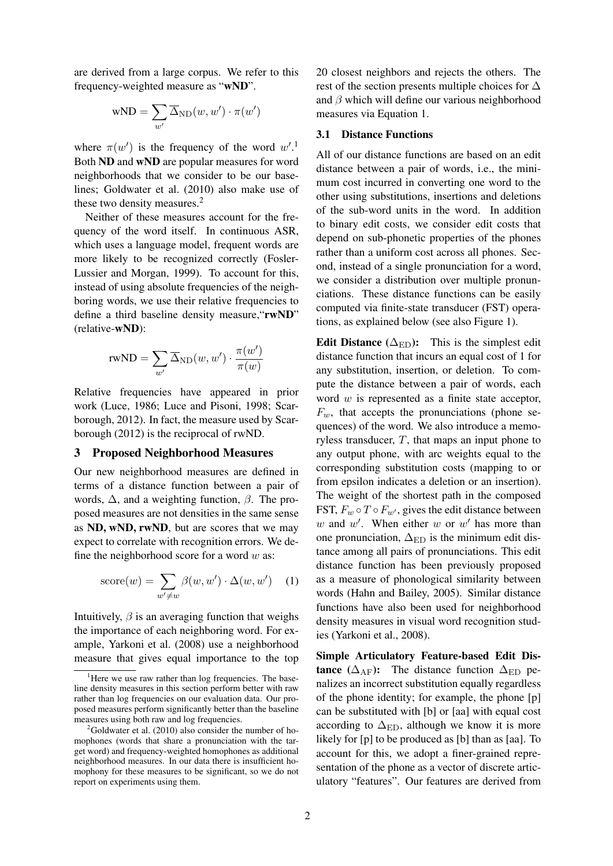are derived from a large corpus. We refer to this frequency-weighted measure as "wND".

$$
\text{wND} = \sum_{w'} \overline{\Delta}_{\text{ND}}(w, w') \cdot \pi(w')
$$

where  $\pi(w')$  is the frequency of the word  $w'.^1$ Both ND and wND are popular measures for word neighborhoods that we consider to be our baselines; Goldwater et al. (2010) also make use of these two density measures.<sup>2</sup>

Neither of these measures account for the frequency of the word itself. In continuous ASR, which uses a language model, frequent words are more likely to be recognized correctly (Fosler-Lussier and Morgan, 1999). To account for this, instead of using absolute frequencies of the neighboring words, we use their relative frequencies to define a third baseline density measure, "rwND" (relative-wND):

$$
\text{rwND} = \sum_{w'} \overline{\Delta}_{\text{ND}}(w, w') \cdot \frac{\pi(w')}{\pi(w)}
$$

Relative frequencies have appeared in prior work (Luce, 1986; Luce and Pisoni, 1998; Scarborough, 2012). In fact, the measure used by Scarborough (2012) is the reciprocal of rwND.

#### 3 Proposed Neighborhood Measures

Our new neighborhood measures are defined in terms of a distance function between a pair of words,  $\Delta$ , and a weighting function,  $\beta$ . The proposed measures are not densities in the same sense as ND, wND, rwND, but are scores that we may expect to correlate with recognition errors. We define the neighborhood score for a word  $w$  as:

score(w) = 
$$
\sum_{w' \neq w} \beta(w, w') \cdot \Delta(w, w')
$$
 (1)

Intuitively,  $\beta$  is an averaging function that weighs the importance of each neighboring word. For example, Yarkoni et al. (2008) use a neighborhood measure that gives equal importance to the top 20 closest neighbors and rejects the others. The rest of the section presents multiple choices for ∆ and  $\beta$  which will define our various neighborhood measures via Equation 1.

# 3.1 Distance Functions

All of our distance functions are based on an edit distance between a pair of words, i.e., the minimum cost incurred in converting one word to the other using substitutions, insertions and deletions of the sub-word units in the word. In addition to binary edit costs, we consider edit costs that depend on sub-phonetic properties of the phones rather than a uniform cost across all phones. Second, instead of a single pronunciation for a word, we consider a distribution over multiple pronunciations. These distance functions can be easily computed via finite-state transducer (FST) operations, as explained below (see also Figure 1).

Edit Distance  $(\Delta_{\rm ED})$ : This is the simplest edit distance function that incurs an equal cost of 1 for any substitution, insertion, or deletion. To compute the distance between a pair of words, each word  $w$  is represented as a finite state acceptor,  $F_w$ , that accepts the pronunciations (phone sequences) of the word. We also introduce a memoryless transducer,  $T$ , that maps an input phone to any output phone, with arc weights equal to the corresponding substitution costs (mapping to or from epsilon indicates a deletion or an insertion). The weight of the shortest path in the composed FST,  $F_w \circ T \circ F_{w'}$ , gives the edit distance between w and w'. When either w or w' has more than one pronunciation,  $\Delta_{ED}$  is the minimum edit distance among all pairs of pronunciations. This edit distance function has been previously proposed as a measure of phonological similarity between words (Hahn and Bailey, 2005). Similar distance functions have also been used for neighborhood density measures in visual word recognition studies (Yarkoni et al., 2008).

Simple Articulatory Feature-based Edit Distance ( $\Delta_{\text{AF}}$ ): The distance function  $\Delta_{\text{ED}}$  penalizes an incorrect substitution equally regardless of the phone identity; for example, the phone [p] can be substituted with [b] or [aa] with equal cost according to  $\Delta_{ED}$ , although we know it is more likely for [p] to be produced as [b] than as [aa]. To account for this, we adopt a finer-grained representation of the phone as a vector of discrete articulatory "features". Our features are derived from

<sup>&</sup>lt;sup>1</sup>Here we use raw rather than log frequencies. The baseline density measures in this section perform better with raw rather than log frequencies on our evaluation data. Our proposed measures perform significantly better than the baseline measures using both raw and log frequencies.

 $^{2}$ Goldwater et al. (2010) also consider the number of homophones (words that share a pronunciation with the target word) and frequency-weighted homophones as additional neighborhood measures. In our data there is insufficient homophony for these measures to be significant, so we do not report on experiments using them.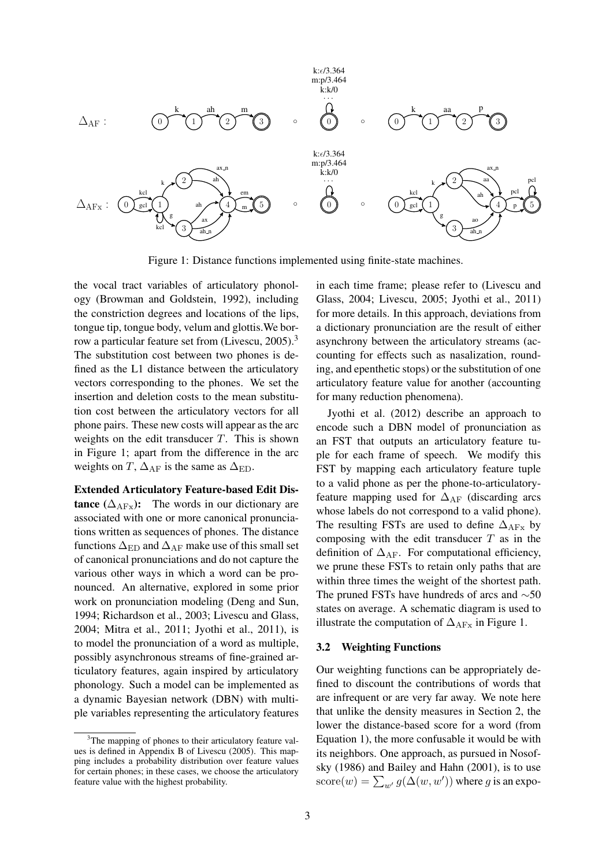

Figure 1: Distance functions implemented using finite-state machines.

the vocal tract variables of articulatory phonology (Browman and Goldstein, 1992), including the constriction degrees and locations of the lips, tongue tip, tongue body, velum and glottis.We borrow a particular feature set from (Livescu, 2005).<sup>3</sup> The substitution cost between two phones is defined as the L1 distance between the articulatory vectors corresponding to the phones. We set the insertion and deletion costs to the mean substitution cost between the articulatory vectors for all phone pairs. These new costs will appear as the arc weights on the edit transducer  $T$ . This is shown in Figure 1; apart from the difference in the arc weights on T,  $\Delta_{\rm AF}$  is the same as  $\Delta_{\rm ED}$ .

Extended Articulatory Feature-based Edit Dis**tance** ( $\Delta_{\text{AFx}}$ ): The words in our dictionary are associated with one or more canonical pronunciations written as sequences of phones. The distance functions  $\Delta_{ED}$  and  $\Delta_{AF}$  make use of this small set of canonical pronunciations and do not capture the various other ways in which a word can be pronounced. An alternative, explored in some prior work on pronunciation modeling (Deng and Sun, 1994; Richardson et al., 2003; Livescu and Glass, 2004; Mitra et al., 2011; Jyothi et al., 2011), is to model the pronunciation of a word as multiple, possibly asynchronous streams of fine-grained articulatory features, again inspired by articulatory phonology. Such a model can be implemented as a dynamic Bayesian network (DBN) with multiple variables representing the articulatory features

in each time frame; please refer to (Livescu and Glass, 2004; Livescu, 2005; Jyothi et al., 2011) for more details. In this approach, deviations from a dictionary pronunciation are the result of either asynchrony between the articulatory streams (accounting for effects such as nasalization, rounding, and epenthetic stops) or the substitution of one articulatory feature value for another (accounting for many reduction phenomena).

Jyothi et al. (2012) describe an approach to encode such a DBN model of pronunciation as an FST that outputs an articulatory feature tuple for each frame of speech. We modify this FST by mapping each articulatory feature tuple to a valid phone as per the phone-to-articulatoryfeature mapping used for  $\Delta_{\rm AF}$  (discarding arcs whose labels do not correspond to a valid phone). The resulting FSTs are used to define  $\Delta_{\text{AFx}}$  by composing with the edit transducer  $T$  as in the definition of  $\Delta_{\rm AF}$ . For computational efficiency, we prune these FSTs to retain only paths that are within three times the weight of the shortest path. The pruned FSTs have hundreds of arcs and ∼50 states on average. A schematic diagram is used to illustrate the computation of  $\Delta_{\text{AFx}}$  in Figure 1.

# 3.2 Weighting Functions

Our weighting functions can be appropriately defined to discount the contributions of words that are infrequent or are very far away. We note here that unlike the density measures in Section 2, the lower the distance-based score for a word (from Equation 1), the more confusable it would be with its neighbors. One approach, as pursued in Nosofsky (1986) and Bailey and Hahn (2001), is to use score $(w) = \sum_{w'} g(\Delta(w, w'))$  where g is an expo-

<sup>&</sup>lt;sup>3</sup>The mapping of phones to their articulatory feature values is defined in Appendix B of Livescu (2005). This mapping includes a probability distribution over feature values for certain phones; in these cases, we choose the articulatory feature value with the highest probability.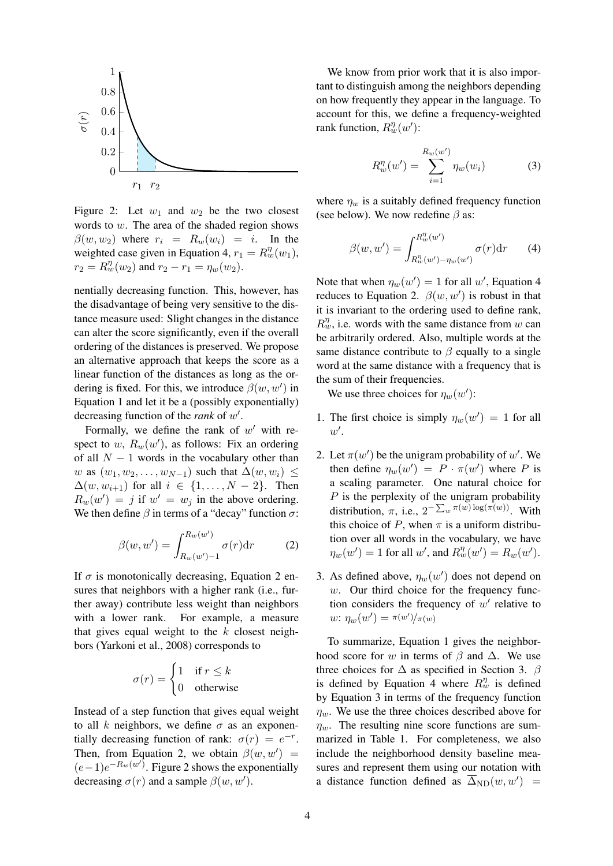

Figure 2: Let  $w_1$  and  $w_2$  be the two closest words to w. The area of the shaded region shows  $\beta(w, w_2)$  where  $r_i = R_w(w_i) = i$ . In the weighted case given in Equation 4,  $r_1 = R_w^{\eta}(w_1)$ ,  $r_2 = R_w^{\eta}(w_2)$  and  $r_2 - r_1 = \eta_w(w_2)$ .

nentially decreasing function. This, however, has the disadvantage of being very sensitive to the distance measure used: Slight changes in the distance can alter the score significantly, even if the overall ordering of the distances is preserved. We propose an alternative approach that keeps the score as a linear function of the distances as long as the ordering is fixed. For this, we introduce  $\beta(w, w')$  in Equation 1 and let it be a (possibly exponentially) decreasing function of the *rank* of w 0 .

Formally, we define the rank of  $w'$  with respect to w,  $R_w(w')$ , as follows: Fix an ordering of all  $N - 1$  words in the vocabulary other than w as  $(w_1, w_2, \ldots, w_{N-1})$  such that  $\Delta(w, w_i) \leq$  $\Delta(w, w_{i+1})$  for all  $i \in \{1, \ldots, N-2\}$ . Then  $R_w(w') = j$  if  $w' = w_j$  in the above ordering. We then define  $\beta$  in terms of a "decay" function  $\sigma$ :

$$
\beta(w, w') = \int_{R_w(w')-1}^{R_w(w')} \sigma(r) dr \qquad (2)
$$

If  $\sigma$  is monotonically decreasing, Equation 2 ensures that neighbors with a higher rank (i.e., further away) contribute less weight than neighbors with a lower rank. For example, a measure that gives equal weight to the  $k$  closest neighbors (Yarkoni et al., 2008) corresponds to

$$
\sigma(r) = \begin{cases} 1 & \text{if } r \le k \\ 0 & \text{otherwise} \end{cases}
$$

Instead of a step function that gives equal weight to all k neighbors, we define  $\sigma$  as an exponentially decreasing function of rank:  $\sigma(r) = e^{-r}$ . Then, from Equation 2, we obtain  $\beta(w, w') =$  $(e-1)e^{-R_w(w')}$ . Figure 2 shows the exponentially decreasing  $\sigma(r)$  and a sample  $\beta(w, w')$ .

We know from prior work that it is also important to distinguish among the neighbors depending on how frequently they appear in the language. To account for this, we define a frequency-weighted rank function,  $R_w^{\eta}(w')$ :

$$
R_w^{\eta}(w') = \sum_{i=1}^{R_w(w')} \eta_w(w_i)
$$
 (3)

where  $\eta_w$  is a suitably defined frequency function (see below). We now redefine  $\beta$  as:

$$
\beta(w, w') = \int_{R_w^{\eta}(w') - \eta_w(w')}^{R_w^{\eta}(w')} \sigma(r) dr \qquad (4)
$$

Note that when  $\eta_w(w') = 1$  for all w', Equation 4 reduces to Equation 2.  $\beta(w, w')$  is robust in that it is invariant to the ordering used to define rank,  $R_w^{\eta}$ , i.e. words with the same distance from w can be arbitrarily ordered. Also, multiple words at the same distance contribute to  $\beta$  equally to a single word at the same distance with a frequency that is the sum of their frequencies.

We use three choices for  $\eta_w(w')$ :

- 1. The first choice is simply  $\eta_w(w') = 1$  for all  $w'.$
- 2. Let  $\pi(w')$  be the unigram probability of w'. We then define  $\eta_w(w') = P \cdot \pi(w')$  where P is a scaling parameter. One natural choice for  $P$  is the perplexity of the unigram probability distribution,  $\pi$ , i.e.,  $2^{-\sum_{w} \pi(w) \log(\pi(w))}$ . With this choice of P, when  $\pi$  is a uniform distribution over all words in the vocabulary, we have  $\eta_w(w') = 1$  for all w', and  $R_w^{\eta}(w') = R_w(w')$ .
- 3. As defined above,  $\eta_w(w')$  does not depend on w. Our third choice for the frequency function considers the frequency of  $w'$  relative to  $w: \eta_w(w') = \pi(w')/\pi(w)$

To summarize, Equation 1 gives the neighborhood score for w in terms of  $\beta$  and  $\Delta$ . We use three choices for  $\Delta$  as specified in Section 3.  $\beta$ is defined by Equation 4 where  $R_w^{\eta}$  is defined by Equation 3 in terms of the frequency function  $\eta_w$ . We use the three choices described above for  $\eta_w$ . The resulting nine score functions are summarized in Table 1. For completeness, we also include the neighborhood density baseline measures and represent them using our notation with a distance function defined as  $\Delta_{ND}(w, w') =$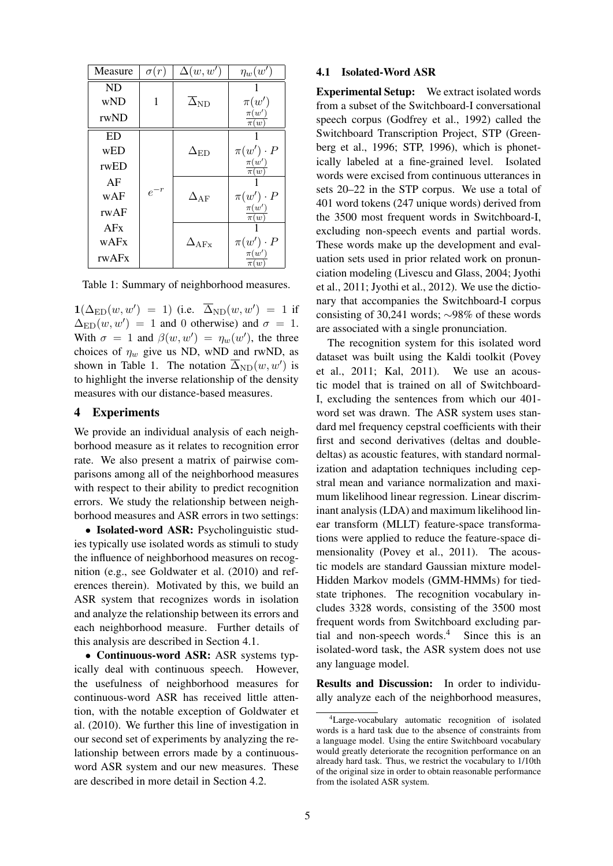| Measure | $\sigma(r)$ | $\Delta(w, w')$          | $\eta_w(w')$          |  |  |  |
|---------|-------------|--------------------------|-----------------------|--|--|--|
| ND      |             |                          |                       |  |  |  |
| wND     | 1           | $\overline{\Delta}_{ND}$ | $\pi(w')$             |  |  |  |
| rwND    |             |                          | $\pi(w')$<br>$\pi(w)$ |  |  |  |
| ED      |             |                          |                       |  |  |  |
| wED     |             | $\Delta_{\rm ED}$        | $\pi(w')\cdot P$      |  |  |  |
| rwED    | $e^{-r}$    |                          | $\pi(w')$<br>$\pi(w)$ |  |  |  |
| AF      |             |                          |                       |  |  |  |
| wAF     |             | $\Delta_{\rm AF}$        | $\pi(w')\cdot P$      |  |  |  |
| rwAF    |             |                          | $\pi(w')$<br>$\pi(w)$ |  |  |  |
| AFx     |             |                          |                       |  |  |  |
| wAFx    |             | $\Delta_{\text{AFx}}$    | $\pi(w')\cdot P$      |  |  |  |
| rwAFx   |             |                          | $\pi(w')$<br>$\pi(w)$ |  |  |  |

Table 1: Summary of neighborhood measures.

 $\mathbf{1}(\Delta_{\mathrm{ED}}(w, w') = 1)$  (i.e.  $\overline{\Delta}_{\mathrm{ND}}(w, w') = 1$  if  $\Delta_{\rm ED}(w, w') = 1$  and 0 otherwise) and  $\sigma = 1$ . With  $\sigma = 1$  and  $\beta(w, w') = \eta_w(w')$ , the three choices of  $\eta_w$  give us ND, wND and rwND, as shown in Table 1. The notation  $\Delta_{ND}(w, w')$  is to highlight the inverse relationship of the density measures with our distance-based measures.

# 4 Experiments

We provide an individual analysis of each neighborhood measure as it relates to recognition error rate. We also present a matrix of pairwise comparisons among all of the neighborhood measures with respect to their ability to predict recognition errors. We study the relationship between neighborhood measures and ASR errors in two settings:

• Isolated-word ASR: Psycholinguistic studies typically use isolated words as stimuli to study the influence of neighborhood measures on recognition (e.g., see Goldwater et al. (2010) and references therein). Motivated by this, we build an ASR system that recognizes words in isolation and analyze the relationship between its errors and each neighborhood measure. Further details of this analysis are described in Section 4.1.

• Continuous-word ASR: ASR systems typically deal with continuous speech. However, the usefulness of neighborhood measures for continuous-word ASR has received little attention, with the notable exception of Goldwater et al. (2010). We further this line of investigation in our second set of experiments by analyzing the relationship between errors made by a continuousword ASR system and our new measures. These are described in more detail in Section 4.2.

# 4.1 Isolated-Word ASR

Experimental Setup: We extract isolated words from a subset of the Switchboard-I conversational speech corpus (Godfrey et al., 1992) called the Switchboard Transcription Project, STP (Greenberg et al., 1996; STP, 1996), which is phonetically labeled at a fine-grained level. Isolated words were excised from continuous utterances in sets 20–22 in the STP corpus. We use a total of 401 word tokens (247 unique words) derived from the 3500 most frequent words in Switchboard-I, excluding non-speech events and partial words. These words make up the development and evaluation sets used in prior related work on pronunciation modeling (Livescu and Glass, 2004; Jyothi et al., 2011; Jyothi et al., 2012). We use the dictionary that accompanies the Switchboard-I corpus consisting of 30,241 words; ∼98% of these words are associated with a single pronunciation.

The recognition system for this isolated word dataset was built using the Kaldi toolkit (Povey et al., 2011; Kal, 2011). We use an acoustic model that is trained on all of Switchboard-I, excluding the sentences from which our 401 word set was drawn. The ASR system uses standard mel frequency cepstral coefficients with their first and second derivatives (deltas and doubledeltas) as acoustic features, with standard normalization and adaptation techniques including cepstral mean and variance normalization and maximum likelihood linear regression. Linear discriminant analysis (LDA) and maximum likelihood linear transform (MLLT) feature-space transformations were applied to reduce the feature-space dimensionality (Povey et al., 2011). The acoustic models are standard Gaussian mixture model-Hidden Markov models (GMM-HMMs) for tiedstate triphones. The recognition vocabulary includes 3328 words, consisting of the 3500 most frequent words from Switchboard excluding partial and non-speech words. $4$  Since this is an isolated-word task, the ASR system does not use any language model.

Results and Discussion: In order to individually analyze each of the neighborhood measures,

<sup>&</sup>lt;sup>4</sup>Large-vocabulary automatic recognition of isolated words is a hard task due to the absence of constraints from a language model. Using the entire Switchboard vocabulary would greatly deteriorate the recognition performance on an already hard task. Thus, we restrict the vocabulary to 1/10th of the original size in order to obtain reasonable performance from the isolated ASR system.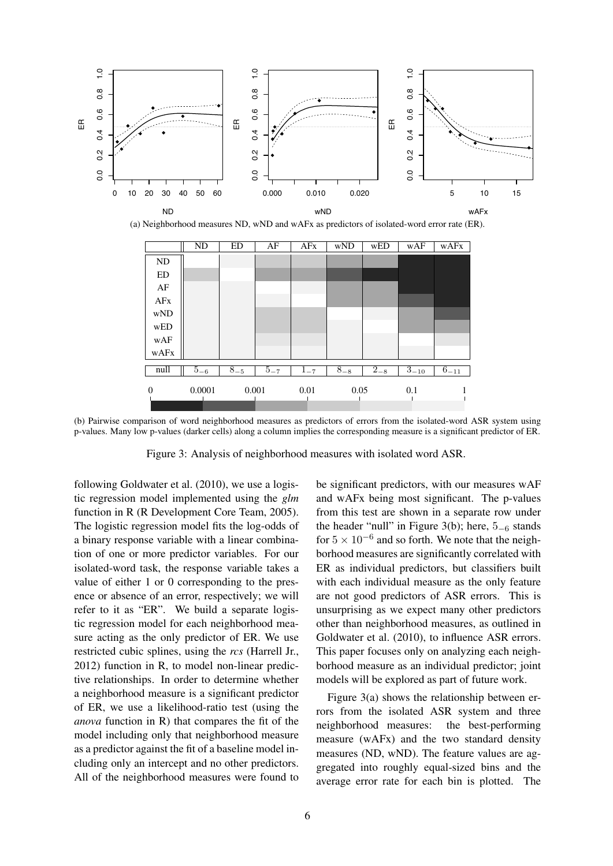

(b) Pairwise comparison of word neighborhood measures as predictors of errors from the isolated-word ASR system using p-values. Many low p-values (darker cells) along a column implies the corresponding measure is a significant predictor of ER.

Figure 3: Analysis of neighborhood measures with isolated word ASR.

following Goldwater et al. (2010), we use a logistic regression model implemented using the *glm* function in R (R Development Core Team, 2005). The logistic regression model fits the log-odds of a binary response variable with a linear combination of one or more predictor variables. For our isolated-word task, the response variable takes a value of either 1 or 0 corresponding to the presence or absence of an error, respectively; we will refer to it as "ER". We build a separate logistic regression model for each neighborhood measure acting as the only predictor of ER. We use restricted cubic splines, using the *rcs* (Harrell Jr., 2012) function in R, to model non-linear predictive relationships. In order to determine whether a neighborhood measure is a significant predictor of ER, we use a likelihood-ratio test (using the *anova* function in R) that compares the fit of the model including only that neighborhood measure as a predictor against the fit of a baseline model including only an intercept and no other predictors. All of the neighborhood measures were found to be significant predictors, with our measures wAF and wAFx being most significant. The p-values from this test are shown in a separate row under the header "null" in Figure 3(b); here,  $5<sub>-6</sub>$  stands for  $5 \times 10^{-6}$  and so forth. We note that the neighborhood measures are significantly correlated with ER as individual predictors, but classifiers built with each individual measure as the only feature are not good predictors of ASR errors. This is unsurprising as we expect many other predictors other than neighborhood measures, as outlined in Goldwater et al. (2010), to influence ASR errors. This paper focuses only on analyzing each neighborhood measure as an individual predictor; joint models will be explored as part of future work.

Figure 3(a) shows the relationship between errors from the isolated ASR system and three neighborhood measures: the best-performing measure (wAFx) and the two standard density measures (ND, wND). The feature values are aggregated into roughly equal-sized bins and the average error rate for each bin is plotted. The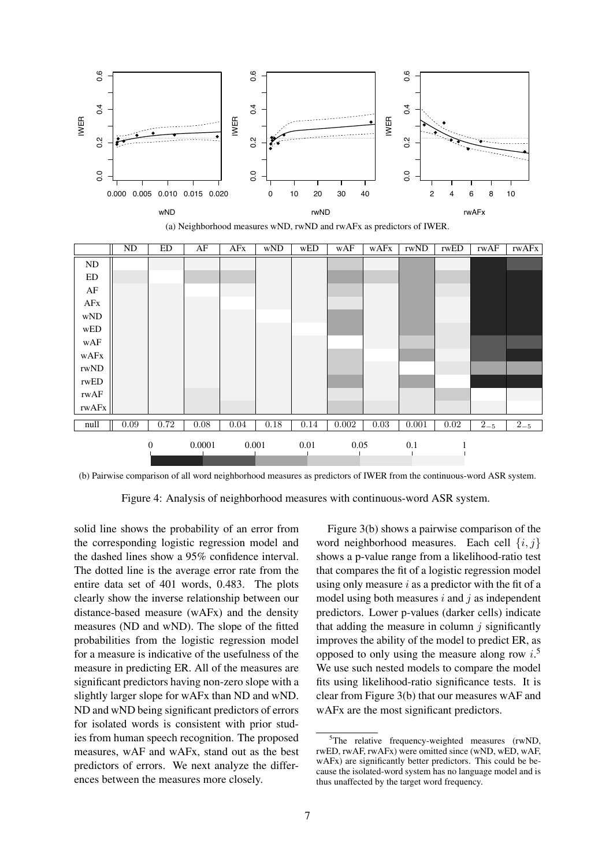

(a) Neighborhood measures wND, rwND and rwAFx as predictors of IWER.

|                            | $\overline{ND}$ | ED               | AF     | AFx   | wND  | WED  | wAF   | wAFx | rwND  | rwED | rwAF    | rwAFx   |
|----------------------------|-----------------|------------------|--------|-------|------|------|-------|------|-------|------|---------|---------|
| $\rm ND$                   |                 |                  |        |       |      |      |       |      |       |      |         |         |
| ED                         |                 |                  |        |       |      |      |       |      |       |      |         |         |
| AF                         |                 |                  |        |       |      |      |       |      |       |      |         |         |
| $\rm AFx$                  |                 |                  |        |       |      |      |       |      |       |      |         |         |
| $\ensuremath{\text{wND}}$  |                 |                  |        |       |      |      |       |      |       |      |         |         |
| $\bold{wED}$               |                 |                  |        |       |      |      |       |      |       |      |         |         |
| $_{\rm wAF}$               |                 |                  |        |       |      |      |       |      |       |      |         |         |
| $\ensuremath{\text{wAFx}}$ |                 |                  |        |       |      |      |       |      |       |      |         |         |
| rwND                       |                 |                  |        |       |      |      |       |      |       |      |         |         |
| rwED                       |                 |                  |        |       |      |      |       |      |       |      |         |         |
| rwAF                       |                 |                  |        |       |      |      |       |      |       |      |         |         |
| rwAFx                      |                 |                  |        |       |      |      |       |      |       |      |         |         |
| null                       | 0.09            | 0.72             | 0.08   | 0.04  | 0.18 | 0.14 | 0.002 | 0.03 | 0.001 | 0.02 | $2 - 5$ | $2 - 5$ |
|                            |                 | $\boldsymbol{0}$ | 0.0001 | 0.001 |      | 0.01 | 0.05  |      | 0.1   |      |         |         |

(b) Pairwise comparison of all word neighborhood measures as predictors of IWER from the continuous-word ASR system.

Figure 4: Analysis of neighborhood measures with continuous-word ASR system.

solid line shows the probability of an error from the corresponding logistic regression model and the dashed lines show a 95% confidence interval. The dotted line is the average error rate from the entire data set of 401 words, 0.483. The plots clearly show the inverse relationship between our distance-based measure (wAFx) and the density measures (ND and wND). The slope of the fitted probabilities from the logistic regression model for a measure is indicative of the usefulness of the measure in predicting ER. All of the measures are significant predictors having non-zero slope with a slightly larger slope for wAFx than ND and wND. ND and wND being significant predictors of errors for isolated words is consistent with prior studies from human speech recognition. The proposed measures, wAF and wAFx, stand out as the best predictors of errors. We next analyze the differences between the measures more closely.

Figure 3(b) shows a pairwise comparison of the word neighborhood measures. Each cell  $\{i, j\}$ shows a p-value range from a likelihood-ratio test that compares the fit of a logistic regression model using only measure  $i$  as a predictor with the fit of a model using both measures  $i$  and  $j$  as independent predictors. Lower p-values (darker cells) indicate that adding the measure in column  $i$  significantly improves the ability of the model to predict ER, as opposed to only using the measure along row  $i$ .<sup>5</sup> We use such nested models to compare the model fits using likelihood-ratio significance tests. It is clear from Figure 3(b) that our measures wAF and wAFx are the most significant predictors.

<sup>&</sup>lt;sup>5</sup>The relative frequency-weighted measures (rwND, rwED, rwAF, rwAFx) were omitted since (wND, wED, wAF, wAFx) are significantly better predictors. This could be because the isolated-word system has no language model and is thus unaffected by the target word frequency.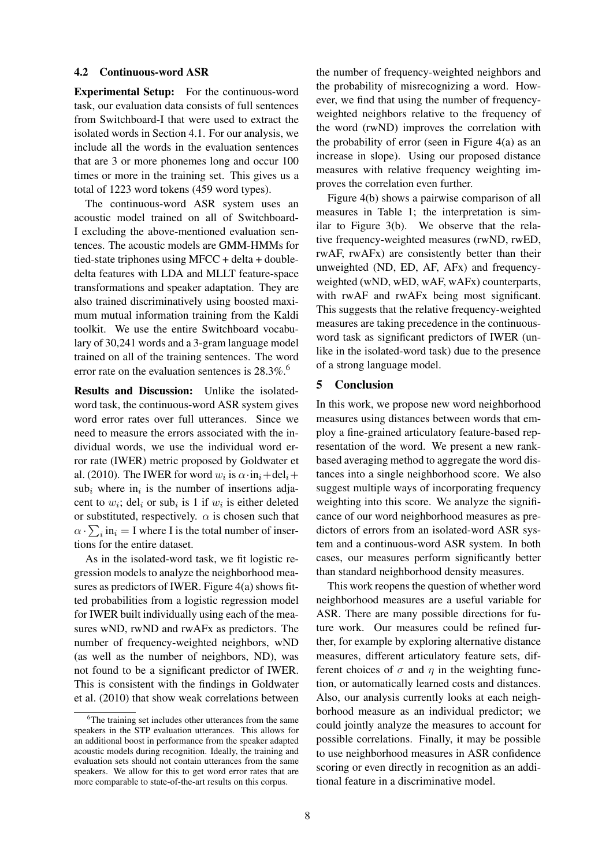## 4.2 Continuous-word ASR

Experimental Setup: For the continuous-word task, our evaluation data consists of full sentences from Switchboard-I that were used to extract the isolated words in Section 4.1. For our analysis, we include all the words in the evaluation sentences that are 3 or more phonemes long and occur 100 times or more in the training set. This gives us a total of 1223 word tokens (459 word types).

The continuous-word ASR system uses an acoustic model trained on all of Switchboard-I excluding the above-mentioned evaluation sentences. The acoustic models are GMM-HMMs for tied-state triphones using MFCC + delta + doubledelta features with LDA and MLLT feature-space transformations and speaker adaptation. They are also trained discriminatively using boosted maximum mutual information training from the Kaldi toolkit. We use the entire Switchboard vocabulary of 30,241 words and a 3-gram language model trained on all of the training sentences. The word error rate on the evaluation sentences is  $28.3\%$ .<sup>6</sup>

Results and Discussion: Unlike the isolatedword task, the continuous-word ASR system gives word error rates over full utterances. Since we need to measure the errors associated with the individual words, we use the individual word error rate (IWER) metric proposed by Goldwater et al. (2010). The IWER for word  $w_i$  is  $\alpha \cdot in_i + del_i +$  $sub<sub>i</sub>$  where in<sub>i</sub> is the number of insertions adjacent to  $w_i$ ; del<sub>i</sub> or sub<sub>i</sub> is 1 if  $w_i$  is either deleted or substituted, respectively.  $\alpha$  is chosen such that  $\alpha \cdot \sum_i \text{in}_i = I$  where I is the total number of insertions for the entire dataset.

As in the isolated-word task, we fit logistic regression models to analyze the neighborhood measures as predictors of IWER. Figure 4(a) shows fitted probabilities from a logistic regression model for IWER built individually using each of the measures wND, rwND and rwAFx as predictors. The number of frequency-weighted neighbors, wND (as well as the number of neighbors, ND), was not found to be a significant predictor of IWER. This is consistent with the findings in Goldwater et al. (2010) that show weak correlations between the number of frequency-weighted neighbors and the probability of misrecognizing a word. However, we find that using the number of frequencyweighted neighbors relative to the frequency of the word (rwND) improves the correlation with the probability of error (seen in Figure 4(a) as an increase in slope). Using our proposed distance measures with relative frequency weighting improves the correlation even further.

Figure 4(b) shows a pairwise comparison of all measures in Table 1; the interpretation is similar to Figure 3(b). We observe that the relative frequency-weighted measures (rwND, rwED, rwAF, rwAFx) are consistently better than their unweighted (ND, ED, AF, AFx) and frequencyweighted (wND, wED, wAF, wAFx) counterparts, with rwAF and rwAF<sub>x</sub> being most significant. This suggests that the relative frequency-weighted measures are taking precedence in the continuousword task as significant predictors of IWER (unlike in the isolated-word task) due to the presence of a strong language model.

# 5 Conclusion

In this work, we propose new word neighborhood measures using distances between words that employ a fine-grained articulatory feature-based representation of the word. We present a new rankbased averaging method to aggregate the word distances into a single neighborhood score. We also suggest multiple ways of incorporating frequency weighting into this score. We analyze the significance of our word neighborhood measures as predictors of errors from an isolated-word ASR system and a continuous-word ASR system. In both cases, our measures perform significantly better than standard neighborhood density measures.

This work reopens the question of whether word neighborhood measures are a useful variable for ASR. There are many possible directions for future work. Our measures could be refined further, for example by exploring alternative distance measures, different articulatory feature sets, different choices of  $\sigma$  and  $\eta$  in the weighting function, or automatically learned costs and distances. Also, our analysis currently looks at each neighborhood measure as an individual predictor; we could jointly analyze the measures to account for possible correlations. Finally, it may be possible to use neighborhood measures in ASR confidence scoring or even directly in recognition as an additional feature in a discriminative model.

<sup>6</sup>The training set includes other utterances from the same speakers in the STP evaluation utterances. This allows for an additional boost in performance from the speaker adapted acoustic models during recognition. Ideally, the training and evaluation sets should not contain utterances from the same speakers. We allow for this to get word error rates that are more comparable to state-of-the-art results on this corpus.